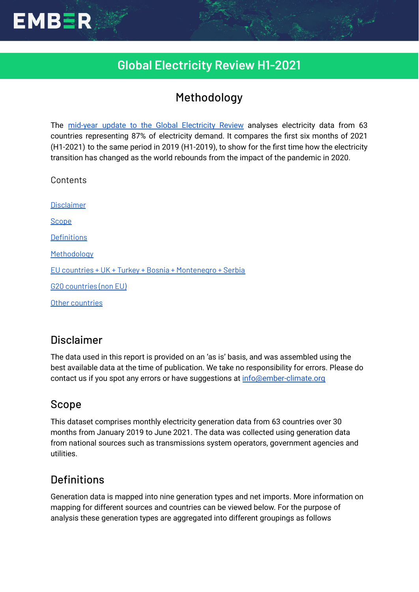

# Methodology

The mid-year update to the Global [Electricity](https://ember-climate.org/project/global-electricity-review-h1-2021/) Review analyses electricity data from 63 countries representing 87% of electricity demand. It compares the first six months of 2021 (H1-2021) to the same period in 2019 (H1-2019), to show for the first time how the electricity transition has changed as the world rebounds from the impact of the pandemic in 2020.

Contents

**EMBER** 

[Disclaimer](#page-0-0) [Scope](#page-0-1) **[Definitions](#page-0-2)** [Methodology](#page-1-0) EU countries + UK + Turkey + Bosnia + [Montenegro](#page-2-0) + Serbia G20 [countries](#page-2-1) (non EU) Other [countries](#page-4-0)

## <span id="page-0-0"></span>Disclaimer

The data used in this report is provided on an 'as is' basis, and was assembled using the best available data at the time of publication. We take no responsibility for errors. Please do contact us if you spot any errors or have suggestions at [info@ember-climate.org](mailto:info@ember-climate.org)

## <span id="page-0-1"></span>Scope

This dataset comprises monthly electricity generation data from 63 countries over 30 months from January 2019 to June 2021. The data was collected using generation data from national sources such as transmissions system operators, government agencies and utilities.

# <span id="page-0-2"></span>**Definitions**

Generation data is mapped into nine generation types and net imports. More information on mapping for different sources and countries can be viewed below. For the purpose of analysis these generation types are aggregated into different groupings as follows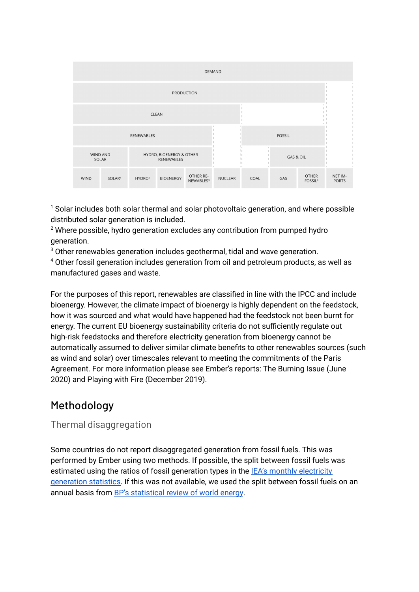| DEMAND            |                    |                                        |                  |                                    |                |                                           |     |                                     |                         |
|-------------------|--------------------|----------------------------------------|------------------|------------------------------------|----------------|-------------------------------------------|-----|-------------------------------------|-------------------------|
| <b>PRODUCTION</b> |                    |                                        |                  |                                    |                |                                           |     |                                     |                         |
| CLEAN             |                    |                                        |                  |                                    |                |                                           |     |                                     |                         |
| <b>RENEWABLES</b> |                    |                                        |                  |                                    |                | <b>FOSSIL</b>                             |     |                                     |                         |
| WIND AND<br>SOLAR |                    | HYDRO, BIOENERGY & OTHER<br>RENEWABLES |                  |                                    |                | GAS & OIL<br>$\mathbb{I}$<br>$\mathbb{R}$ |     |                                     |                         |
| <b>WIND</b>       | SOLAR <sup>1</sup> | HYDRO <sup>2</sup>                     | <b>BIOENERGY</b> | OTHER RE-<br>NEWABLES <sup>3</sup> | <b>NUCLEAR</b> | COAL                                      | GAS | <b>OTHER</b><br>FOSSIL <sup>4</sup> | NET IM-<br><b>PORTS</b> |

 $1$  Solar includes both solar thermal and solar photovoltaic generation, and where possible distributed solar generation is included.

 $2$  Where possible, hydro generation excludes any contribution from pumped hydro generation.

<sup>3</sup> Other renewables generation includes geothermal, tidal and wave generation.

<sup>4</sup> Other fossil generation includes generation from oil and petroleum products, as well as manufactured gases and waste.

For the purposes of this report, renewables are classified in line with the IPCC and include bioenergy. However, the climate impact of bioenergy is highly dependent on the feedstock, how it was sourced and what would have happened had the feedstock not been burnt for energy. The current EU bioenergy sustainability criteria do not sufficiently regulate out high-risk feedstocks and therefore electricity generation from bioenergy cannot be automatically assumed to deliver similar climate benefits to other renewables sources (such as wind and solar) over timescales relevant to meeting the commitments of the Paris Agreement. For more information please see Ember's reports: The Burning Issue (June 2020) and Playing with Fire (December 2019).

# <span id="page-1-0"></span>Methodology

Thermal disaggregation

Some countries do not report disaggregated generation from fossil fuels. This was performed by Ember using two methods. If possible, the split between fossil fuels was estimated using the ratios of fossil generation types in the **IEA's monthly [electricity](https://www.iea.org/reports/monthly-oecd-electricity-statistics)** [generation](https://www.iea.org/reports/monthly-oecd-electricity-statistics) statistics. If this was not available, we used the split between fossil fuels on an annual basis from BP's [statistical](https://www.bp.com/en/global/corporate/energy-economics/statistical-review-of-world-energy.html) review of world energy.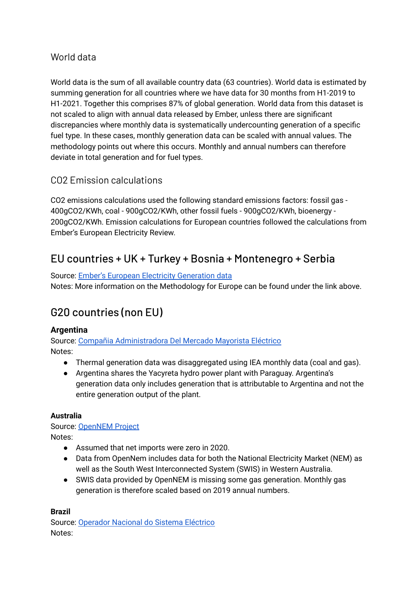## World data

World data is the sum of all available country data (63 countries). World data is estimated by summing generation for all countries where we have data for 30 months from H1-2019 to H1-2021. Together this comprises 87% of global generation. World data from this dataset is not scaled to align with annual data released by Ember, unless there are significant discrepancies where monthly data is systematically undercounting generation of a specific fuel type. In these cases, monthly generation data can be scaled with annual values. The methodology points out where this occurs. Monthly and annual numbers can therefore deviate in total generation and for fuel types.

## CO2 Emission calculations

CO2 emissions calculations used the following standard emissions factors: fossil gas - 400gCO2/KWh, coal - 900gCO2/KWh, other fossil fuels - 900gCO2/KWh, bioenergy - 200gCO2/KWh. Emission calculations for European countries followed the calculations from Ember's European Electricity Review.

# <span id="page-2-0"></span>EU countries + UK + Turkey + Bosnia + Montenegro + Serbia

Source: Ember's European Electricity [Generation](https://ember-climate.org/european-electricity-transition/) data Notes: More information on the Methodology for Europe can be found under the link above.

# <span id="page-2-1"></span>G20 countries (non EU)

## **Argentina**

Source: Compañia [Administradora](https://portalweb.cammesa.com/memnet1/Pages/descargas.aspx) Del Mercado Mayorista Eléctrico Notes:

- Thermal generation data was disaggregated using IEA monthly data (coal and gas).
- Argentina shares the Yacyreta hydro power plant with Paraguay. Argentina's generation data only includes generation that is attributable to Argentina and not the entire generation output of the plant.

#### **Australia**

Source: [OpenNEM](https://opennem.org.au/energy/nem) Project Notes:

- Assumed that net imports were zero in 2020.
- Data from OpenNem includes data for both the National Electricity Market (NEM) as well as the South West Interconnected System (SWIS) in Western Australia.
- SWIS data provided by OpenNEM is missing some gas generation. Monthly gas generation is therefore scaled based on 2019 annual numbers.

#### **Brazil**

Source: [Operador](http://www.ons.org.br/Paginas/resultados-da-operacao/historico-da-operacao/geracao_energia.aspx) Nacional do Sistema Eléctrico Notes: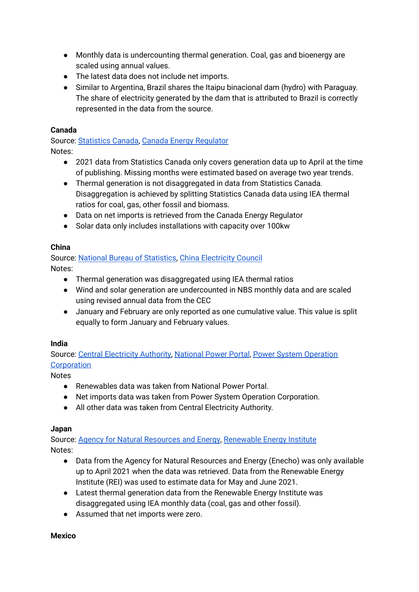- Monthly data is undercounting thermal generation. Coal, gas and bioenergy are scaled using annual values.
- The latest data does not include net imports.
- Similar to Argentina, Brazil shares the Itaipu binacional dam (hydro) with Paraguay. The share of electricity generated by the dam that is attributed to Brazil is correctly represented in the data from the source.

## **Canada**

Source: [Statistics](https://www150.statcan.gc.ca/t1/tbl1/en/tv.action?pid=2510001501) Canada, Canada Energy [Regulator](https://apps.cer-rec.gc.ca/CommodityStatistics/Statistics.aspx?language=english) Notes:

- 2021 data from Statistics Canada only covers generation data up to April at the time of publishing. Missing months were estimated based on average two year trends.
- Thermal generation is not disaggregated in data from Statistics Canada. Disaggregation is achieved by splitting Statistics Canada data using IEA thermal ratios for coal, gas, other fossil and biomass.
- Data on net imports is retrieved from the Canada Energy Regulator
- Solar data only includes installations with capacity over 100kw

## **China**

Source: National Bureau of [Statistics,](http://www.stats.gov.cn/tjsj/zxfb/) China [Electricity](https://chinaenergyportal.org/en/category/stats/) Council Notes:

- Thermal generation was disaggregated using IEA thermal ratios
- Wind and solar generation are undercounted in NBS monthly data and are scaled using revised annual data from the CEC
- January and February are only reported as one cumulative value. This value is split equally to form January and February values.

## **India**

Source: Central [Electricity](https://cea.nic.in/) Authority, [National](https://npp.gov.in/publishedReports) Power Portal, Power System [Operation](https://posoco.in/reports/monthly-reports/) **[Corporation](https://posoco.in/reports/monthly-reports/)** 

Notes

- Renewables data was taken from National Power Portal.
- Net imports data was taken from Power System Operation Corporation.
- All other data was taken from Central Electricity Authority.

## **Japan**

Source: Agency for Natural [Resources](https://www.enecho.meti.go.jp/statistics/electric_power/ep002/) and Energy, [Renewable](https://www.renewable-ei.org/en/statistics/electricity/#demand) Energy Institute Notes:

- Data from the Agency for Natural Resources and Energy (Enecho) was only available up to April 2021 when the data was retrieved. Data from the Renewable Energy Institute (REI) was used to estimate data for May and June 2021.
- Latest thermal generation data from the Renewable Energy Institute was disaggregated using IEA monthly data (coal, gas and other fossil).
- Assumed that net imports were zero.

## **Mexico**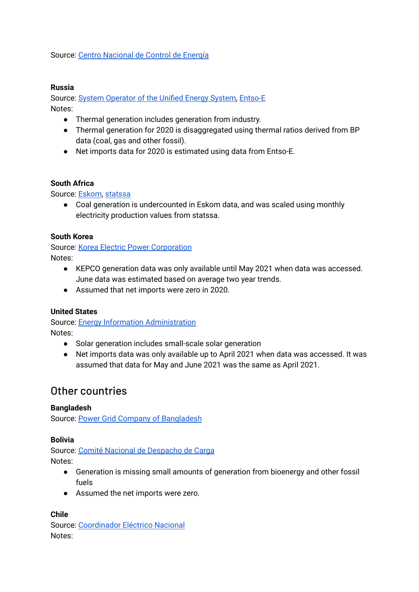Source: Centro [Nacional](https://www.cenace.gob.mx/Paginas/SIM/Reportes/EnergiaGeneradaTipoTec.aspx) de Control de Energía

#### **Russia**

Source: System [Operator](http://www.so-ups.ru/index.php?id=ups_review) of the Unified Energy System, [Entso-E](https://transparency.entsoe.eu/) Notes:

- Thermal generation includes generation from industry.
- Thermal generation for 2020 is disaggregated using thermal ratios derived from BP data (coal, gas and other fossil).
- Net imports data for 2020 is estimated using data from Entso-E.

#### **South Africa**

Source: [Eskom,](https://www.eskom.co.za/sites/publicdata/Pages/default.aspx) [statssa](http://www.statssa.gov.za/)

● Coal generation is undercounted in Eskom data, and was scaled using monthly electricity production values from statssa.

#### **South Korea**

Source: Korea Electric Power [Corporation](http://home.kepco.co.kr/kepco/KO/ntcob/list.do?boardCd=BRD_000097&menuCd=FN050301) Notes:

- KEPCO generation data was only available until May 2021 when data was accessed. June data was estimated based on average two year trends.
- Assumed that net imports were zero in 2020.

#### **United States**

Source: Energy Information [Administration](https://www.eia.gov/electricity/data/browser/) Notes:

- Solar generation includes small-scale solar generation
- Net imports data was only available up to April 2021 when data was accessed. It was assumed that data for May and June 2021 was the same as April 2021.

## <span id="page-4-0"></span>Other countries

#### **Bangladesh**

Source: Power Grid Company of [Bangladesh](http://pgcb.gov.bd/site/page/0cd0c563-4f06-473a-9a7e-c45ead947140/-)

#### **Bolivia**

Source: Comité Nacional de [Despacho](https://www.cndc.bo/estadisticas/anual.php) de Carga Notes:

- Generation is missing small amounts of generation from bioenergy and other fossil fuels
- Assumed the net imports were zero.

#### **Chile**

Source: [Coordinador](https://www.coordinador.cl/reportes-y-estadisticas/) Eléctrico Nacional Notes: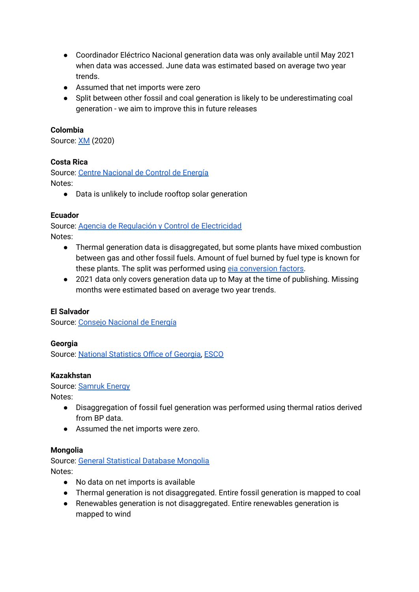- Coordinador Eléctrico Nacional generation data was only available until May 2021 when data was accessed. June data was estimated based on average two year trends.
- Assumed that net imports were zero
- Split between other fossil and coal generation is likely to be underestimating coal generation - we aim to improve this in future releases

### **Colombia**

Source: [XM](http://portalbissrs.xm.com.co/oferta/Paginas/Historicos/Historicos.aspx#InplviewHash946210c0-4071-4173-964c-ed5bcce4e66c=Paged%3DTRUE-p_SortBehavior%3D0-p_FileLeafRef%3DGeneracion%255f%2528kWh%2529%255fTRIM2%255f2020%252exlsx-p_ID%3D341-PageFirstRow%3D31) (2020)

#### **Costa Rica**

Source: Centre [Nacional](https://apps.grupoice.com/CenceWeb/paginas/GeneracionReal.html?fecha=02/02/2021) de Control de Energía Notes:

● Data is unlikely to include rooftop solar generation

#### **Ecuador**

Source: Agencia de Regulación y Control de [Electricidad](http://reportes.controlrecursosyenergia.gob.ec/) Notes:

- Thermal generation data is disaggregated, but some plants have mixed combustion between gas and other fossil fuels. Amount of fuel burned by fuel type is known for these plants. The split was performed using eia [conversion](https://www.eia.gov/tools/faqs/faq.php?id=667&t=6) factors.
- 2021 data only covers generation data up to May at the time of publishing. Missing months were estimated based on average two year trends.

#### **El Salvador**

Source: Consejo [Nacional](http://estadisticas.cne.gob.sv) de Energía

#### **Georgia**

Source: National [Statistics](https://www.geostat.ge/en/modules/categories/87/monthly-energy-statistics-indicators) Office of Georgia, [ESCO](https://esco.ge/)

#### **Kazakhstan**

Source: [Samruk](https://www.samruk-energy.kz/kz/press-center/analytical-review) Energy

Notes:

- Disaggregation of fossil fuel generation was performed using thermal ratios derived from BP data.
- Assumed the net imports were zero.

#### **Mongolia**

Source: General [Statistical](https://www.1212.mn/tables.aspx?tbl_id=DT_NSO_1100_006V2&AJ01_select_all=0&AJ01SingleSelect=_1_82&YearM_select_all=1&YearMSingleSelect=&viewtype=table) Database Mongolia Notes:

- No data on net imports is available
- Thermal generation is not disaggregated. Entire fossil generation is mapped to coal
- Renewables generation is not disaggregated. Entire renewables generation is mapped to wind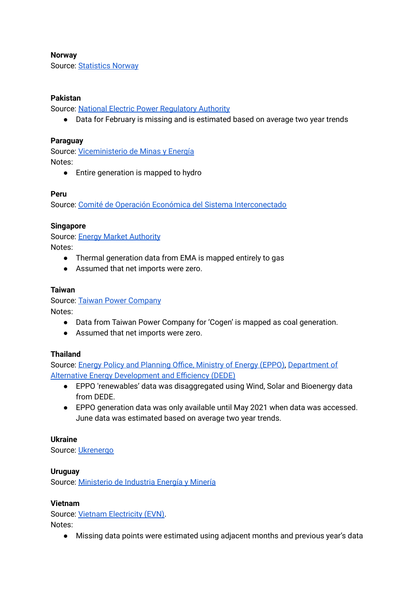#### **Norway**

Source: [Statistics](https://www.ssb.no/en/statbank/table/12824/tableViewLayout1/) Norway

#### **Pakistan**

Source: National Electric Power [Regulatory](https://nepra.org.pk/News.php) Authority

● Data for February is missing and is estimated based on average two year trends

#### **Paraguay**

Source: [Viceministerio](https://www.ssme.gov.py/vmme/index.php?option=com_content&view=article&id=1953) de Minas y Energía Notes:

● Entire generation is mapped to hydro

#### **Peru**

Source: Comité de Operación Económica del Sistema [Interconectado](https://www.coes.org.pe/Portal/PostOperacion/Informes/EvaluacionMensual)

#### **Singapore**

Source: Energy Market [Authority](https://www.ema.gov.sg/Statistics.aspx) Notes:

- Thermal generation data from EMA is mapped entirely to gas
- Assumed that net imports were zero.

#### **Taiwan**

Source: Taiwan Power [Company](https://www.taipower.com.tw/tc/page.aspx?mid=210) Notes:

- Data from Taiwan Power Company for 'Cogen' is mapped as coal generation.
- Assumed that net imports were zero.

#### **Thailand**

Source: Energy Policy and [Planning](http://www.eppo.go.th/index.php/en/en-energystatistics/electricity-statistic) Office, Ministry of Energy (EPPO), [Department](https://www.dede.go.th/ewt_news.php?nid=47341) of Alternative Energy [Development](https://www.dede.go.th/ewt_news.php?nid=47341) and Efficiency (DEDE)

- EPPO 'renewables' data was disaggregated using Wind, Solar and Bioenergy data from DEDE.
- EPPO generation data was only available until May 2021 when data was accessed. June data was estimated based on average two year trends.

#### **Ukraine**

Source: [Ukrenergo](https://data.gov.ua/dataset/31199018-e15e-4e87-bf5e-2a4293151f5c/resource/679ab7a9-7aa6-4b7a-bfa9-d462bc78f958?inner_span=True)

#### **Uruguay**

Source: [Ministerio](https://www.gub.uy/ministerio-industria-energia-mineria/datos-y-estadisticas/datos/series-estadisticas-energia-electrica) de Industria Energía y Minería

#### **Vietnam**

Source: Vietnam [Electricity](http://icon.com.vn/vn-s83-169360-658/Tinh-hinh-hoat-dong-9-thang-dau-nam-2020-va-muc-tieu-nhiem-vu-cong-tac-3-thang-cuoi-nam-2020.aspx) (EVN).

Notes:

● Missing data points were estimated using adjacent months and previous year's data